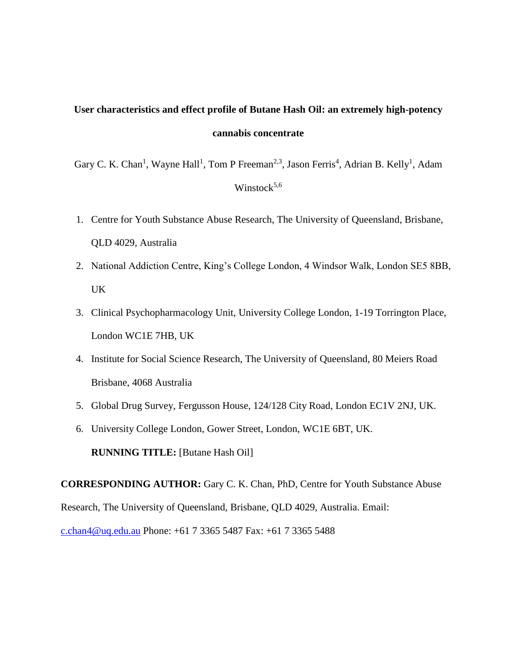# **User characteristics and effect profile of Butane Hash Oil: an extremely high-potency cannabis concentrate**

Gary C. K. Chan<sup>1</sup>, Wayne Hall<sup>1</sup>, Tom P Freeman<sup>2,3</sup>, Jason Ferris<sup>4</sup>, Adrian B. Kelly<sup>1</sup>, Adam Winstock $5,6$ 

- 1. Centre for Youth Substance Abuse Research, The University of Queensland, Brisbane, QLD 4029, Australia
- 2. National Addiction Centre, King's College London, 4 Windsor Walk, London SE5 8BB, UK
- 3. Clinical Psychopharmacology Unit, University College London, 1-19 Torrington Place, London WC1E 7HB, UK
- 4. Institute for Social Science Research, The University of Queensland, 80 Meiers Road Brisbane, 4068 Australia
- 5. Global Drug Survey, Fergusson House, 124/128 City Road, London EC1V 2NJ, UK.
- 6. University College London, Gower Street, London, WC1E 6BT, UK.

**RUNNING TITLE:** [Butane Hash Oil]

**CORRESPONDING AUTHOR:** Gary C. K. Chan, PhD, Centre for Youth Substance Abuse Research, The University of Queensland, Brisbane, QLD 4029, Australia. Email: [c.chan4@uq.edu.au](mailto:c.chan4@uq.edu.au) Phone: +61 7 3365 5487 Fax: +61 7 3365 5488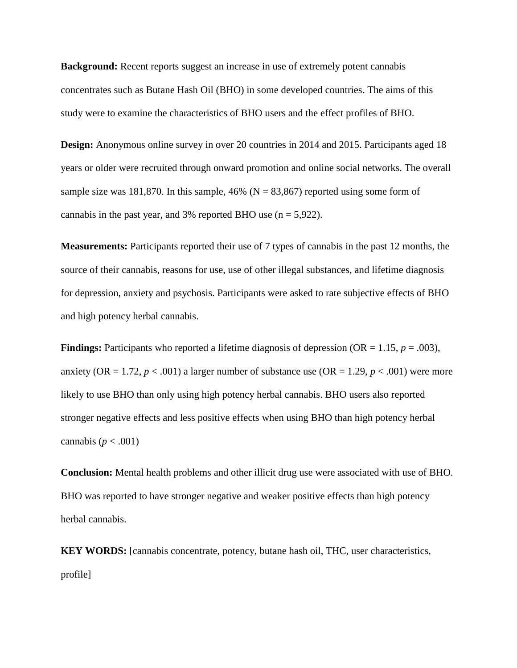**Background:** Recent reports suggest an increase in use of extremely potent cannabis concentrates such as Butane Hash Oil (BHO) in some developed countries. The aims of this study were to examine the characteristics of BHO users and the effect profiles of BHO.

**Design:** Anonymous online survey in over 20 countries in 2014 and 2015. Participants aged 18 years or older were recruited through onward promotion and online social networks. The overall sample size was 181,870. In this sample, 46% ( $N = 83,867$ ) reported using some form of cannabis in the past year, and 3% reported BHO use  $(n = 5.922)$ .

**Measurements:** Participants reported their use of 7 types of cannabis in the past 12 months, the source of their cannabis, reasons for use, use of other illegal substances, and lifetime diagnosis for depression, anxiety and psychosis. Participants were asked to rate subjective effects of BHO and high potency herbal cannabis.

**Findings:** Participants who reported a lifetime diagnosis of depression (OR = 1.15,  $p = .003$ ), anxiety (OR = 1.72,  $p < .001$ ) a larger number of substance use (OR = 1.29,  $p < .001$ ) were more likely to use BHO than only using high potency herbal cannabis. BHO users also reported stronger negative effects and less positive effects when using BHO than high potency herbal cannabis ( $p < .001$ )

**Conclusion:** Mental health problems and other illicit drug use were associated with use of BHO. BHO was reported to have stronger negative and weaker positive effects than high potency herbal cannabis.

**KEY WORDS:** [cannabis concentrate, potency, butane hash oil, THC, user characteristics, profile]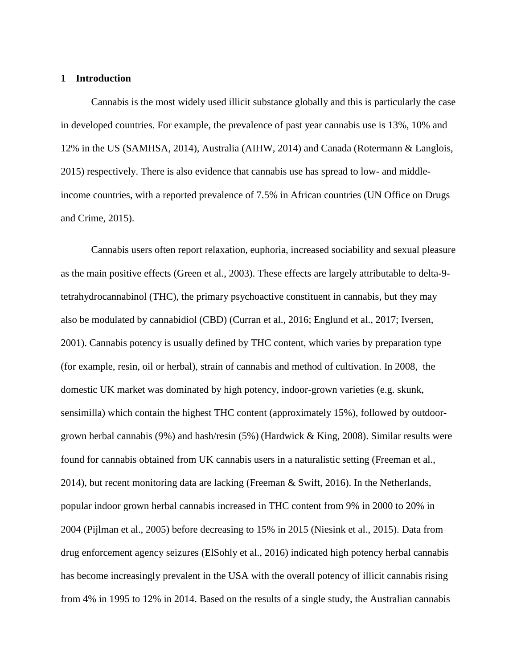#### **1 Introduction**

Cannabis is the most widely used illicit substance globally and this is particularly the case in developed countries. For example, the prevalence of past year cannabis use is 13%, 10% and 12% in the US (SAMHSA, 2014), Australia (AIHW, 2014) and Canada (Rotermann & Langlois, 2015) respectively. There is also evidence that cannabis use has spread to low- and middleincome countries, with a reported prevalence of 7.5% in African countries (UN Office on Drugs and Crime, 2015).

Cannabis users often report relaxation, euphoria, increased sociability and sexual pleasure as the main positive effects (Green et al., 2003). These effects are largely attributable to delta-9 tetrahydrocannabinol (THC), the primary psychoactive constituent in cannabis, but they may also be modulated by cannabidiol (CBD) (Curran et al., 2016; Englund et al., 2017; Iversen, 2001). Cannabis potency is usually defined by THC content, which varies by preparation type (for example, resin, oil or herbal), strain of cannabis and method of cultivation. In 2008, the domestic UK market was dominated by high potency, indoor-grown varieties (e.g. skunk, sensimilla) which contain the highest THC content (approximately 15%), followed by outdoorgrown herbal cannabis (9%) and hash/resin (5%) (Hardwick & King, 2008). Similar results were found for cannabis obtained from UK cannabis users in a naturalistic setting (Freeman et al., 2014), but recent monitoring data are lacking (Freeman & Swift, 2016). In the Netherlands, popular indoor grown herbal cannabis increased in THC content from 9% in 2000 to 20% in 2004 (Pijlman et al., 2005) before decreasing to 15% in 2015 (Niesink et al., 2015). Data from drug enforcement agency seizures (ElSohly et al., 2016) indicated high potency herbal cannabis has become increasingly prevalent in the USA with the overall potency of illicit cannabis rising from 4% in 1995 to 12% in 2014. Based on the results of a single study, the Australian cannabis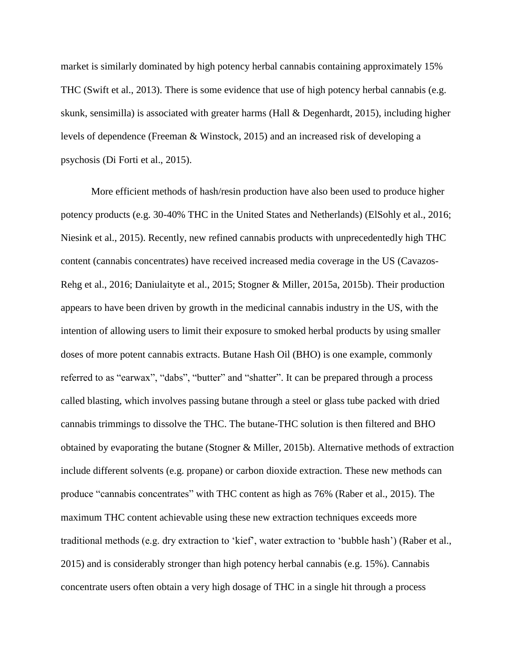market is similarly dominated by high potency herbal cannabis containing approximately 15% THC (Swift et al., 2013). There is some evidence that use of high potency herbal cannabis (e.g. skunk, sensimilla) is associated with greater harms (Hall & Degenhardt, 2015), including higher levels of dependence (Freeman & Winstock, 2015) and an increased risk of developing a psychosis (Di Forti et al., 2015).

More efficient methods of hash/resin production have also been used to produce higher potency products (e.g. 30-40% THC in the United States and Netherlands) (ElSohly et al., 2016; Niesink et al., 2015). Recently, new refined cannabis products with unprecedentedly high THC content (cannabis concentrates) have received increased media coverage in the US (Cavazos-Rehg et al., 2016; Daniulaityte et al., 2015; Stogner & Miller, 2015a, 2015b). Their production appears to have been driven by growth in the medicinal cannabis industry in the US, with the intention of allowing users to limit their exposure to smoked herbal products by using smaller doses of more potent cannabis extracts. Butane Hash Oil (BHO) is one example, commonly referred to as "earwax", "dabs", "butter" and "shatter". It can be prepared through a process called blasting, which involves passing butane through a steel or glass tube packed with dried cannabis trimmings to dissolve the THC. The butane-THC solution is then filtered and BHO obtained by evaporating the butane (Stogner & Miller, 2015b). Alternative methods of extraction include different solvents (e.g. propane) or carbon dioxide extraction. These new methods can produce "cannabis concentrates" with THC content as high as 76% (Raber et al., 2015). The maximum THC content achievable using these new extraction techniques exceeds more traditional methods (e.g. dry extraction to 'kief', water extraction to 'bubble hash') (Raber et al., 2015) and is considerably stronger than high potency herbal cannabis (e.g. 15%). Cannabis concentrate users often obtain a very high dosage of THC in a single hit through a process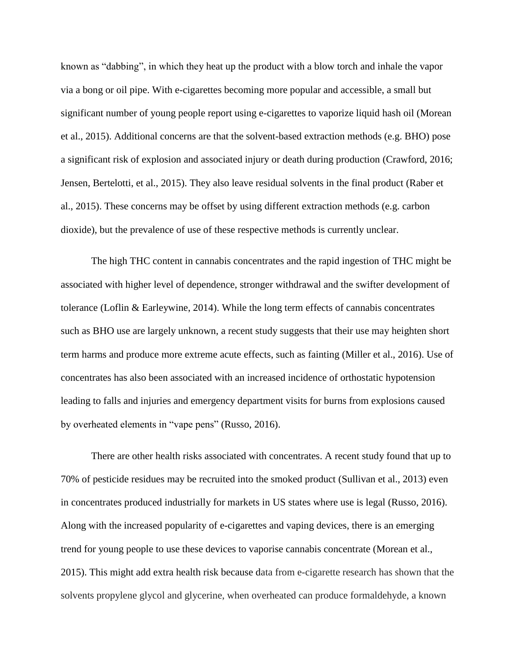known as "dabbing", in which they heat up the product with a blow torch and inhale the vapor via a bong or oil pipe. With e-cigarettes becoming more popular and accessible, a small but significant number of young people report using e-cigarettes to vaporize liquid hash oil (Morean et al., 2015). Additional concerns are that the solvent-based extraction methods (e.g. BHO) pose a significant risk of explosion and associated injury or death during production (Crawford, 2016; Jensen, Bertelotti, et al., 2015). They also leave residual solvents in the final product (Raber et al., 2015). These concerns may be offset by using different extraction methods (e.g. carbon dioxide), but the prevalence of use of these respective methods is currently unclear.

The high THC content in cannabis concentrates and the rapid ingestion of THC might be associated with higher level of dependence, stronger withdrawal and the swifter development of tolerance (Loflin & Earleywine, 2014). While the long term effects of cannabis concentrates such as BHO use are largely unknown, a recent study suggests that their use may heighten short term harms and produce more extreme acute effects, such as fainting (Miller et al., 2016). Use of concentrates has also been associated with an increased incidence of orthostatic hypotension leading to falls and injuries and emergency department visits for burns from explosions caused by overheated elements in "vape pens" (Russo, 2016).

There are other health risks associated with concentrates. A recent study found that up to 70% of pesticide residues may be recruited into the smoked product (Sullivan et al., 2013) even in concentrates produced industrially for markets in US states where use is legal (Russo, 2016). Along with the increased popularity of e-cigarettes and vaping devices, there is an emerging trend for young people to use these devices to vaporise cannabis concentrate (Morean et al., 2015). This might add extra health risk because data from e-cigarette research has shown that the solvents propylene glycol and glycerine, when overheated can produce formaldehyde, a known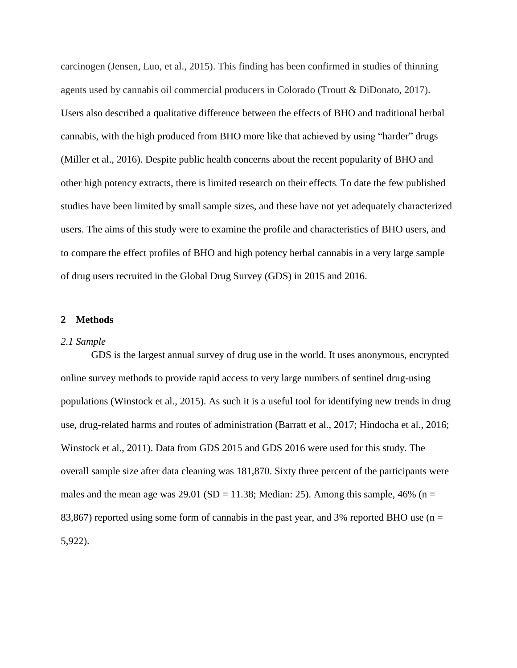carcinogen (Jensen, Luo, et al., 2015). This finding has been confirmed in studies of thinning agents used by cannabis oil commercial producers in Colorado (Troutt & DiDonato, 2017). Users also described a qualitative difference between the effects of BHO and traditional herbal cannabis, with the high produced from BHO more like that achieved by using "harder" drugs (Miller et al., 2016). Despite public health concerns about the recent popularity of BHO and other high potency extracts, there is limited research on their effects. To date the few published studies have been limited by small sample sizes, and these have not yet adequately characterized users. The aims of this study were to examine the profile and characteristics of BHO users, and to compare the effect profiles of BHO and high potency herbal cannabis in a very large sample of drug users recruited in the Global Drug Survey (GDS) in 2015 and 2016.

#### **2 Methods**

#### *2.1 Sample*

GDS is the largest annual survey of drug use in the world. It uses anonymous, encrypted online survey methods to provide rapid access to very large numbers of sentinel drug-using populations (Winstock et al., 2015). As such it is a useful tool for identifying new trends in drug use, drug-related harms and routes of administration (Barratt et al., 2017; Hindocha et al., 2016; Winstock et al., 2011). Data from GDS 2015 and GDS 2016 were used for this study. The overall sample size after data cleaning was 181,870. Sixty three percent of the participants were males and the mean age was  $29.01$  (SD = 11.38; Median: 25). Among this sample, 46% (n = 83,867) reported using some form of cannabis in the past year, and 3% reported BHO use ( $n =$ 5,922).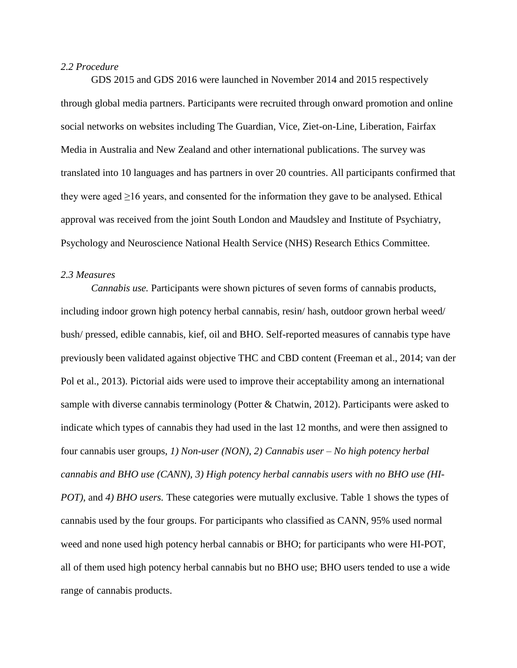#### *2.2 Procedure*

GDS 2015 and GDS 2016 were launched in November 2014 and 2015 respectively through global media partners. Participants were recruited through onward promotion and online social networks on websites including The Guardian, Vice, Ziet-on-Line, Liberation, Fairfax Media in Australia and New Zealand and other international publications. The survey was translated into 10 languages and has partners in over 20 countries. All participants confirmed that they were aged  $\geq 16$  years, and consented for the information they gave to be analysed. Ethical approval was received from the joint South London and Maudsley and Institute of Psychiatry, Psychology and Neuroscience National Health Service (NHS) Research Ethics Committee.

### *2.3 Measures*

*Cannabis use.* Participants were shown pictures of seven forms of cannabis products, including indoor grown high potency herbal cannabis, resin/ hash, outdoor grown herbal weed/ bush/ pressed, edible cannabis, kief, oil and BHO. Self-reported measures of cannabis type have previously been validated against objective THC and CBD content (Freeman et al., 2014; van der Pol et al., 2013). Pictorial aids were used to improve their acceptability among an international sample with diverse cannabis terminology (Potter & Chatwin, 2012). Participants were asked to indicate which types of cannabis they had used in the last 12 months, and were then assigned to four cannabis user groups, *1) Non-user (NON)*, *2) Cannabis user – No high potency herbal cannabis and BHO use (CANN)*, *3) High potency herbal cannabis users with no BHO use (HI-POT*), and 4) *BHO users*. These categories were mutually exclusive. Table 1 shows the types of cannabis used by the four groups. For participants who classified as CANN, 95% used normal weed and none used high potency herbal cannabis or BHO; for participants who were HI-POT, all of them used high potency herbal cannabis but no BHO use; BHO users tended to use a wide range of cannabis products.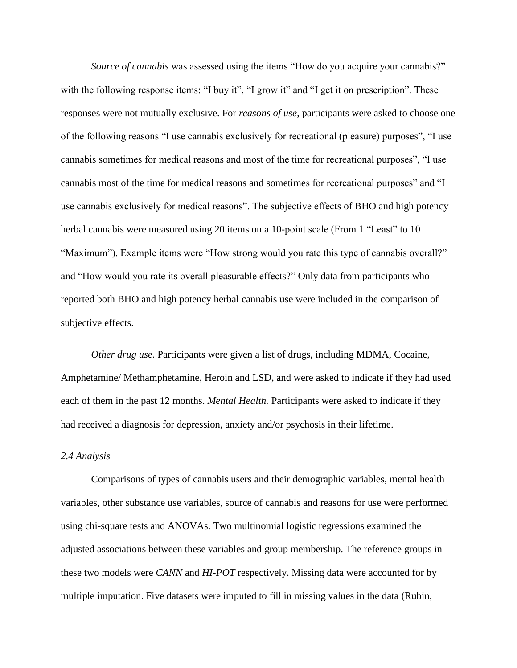*Source of cannabis* was assessed using the items "How do you acquire your cannabis?" with the following response items: "I buy it", "I grow it" and "I get it on prescription". These responses were not mutually exclusive. For *reasons of use*, participants were asked to choose one of the following reasons "I use cannabis exclusively for recreational (pleasure) purposes", "I use cannabis sometimes for medical reasons and most of the time for recreational purposes", "I use cannabis most of the time for medical reasons and sometimes for recreational purposes" and "I use cannabis exclusively for medical reasons". The subjective effects of BHO and high potency herbal cannabis were measured using 20 items on a 10-point scale (From 1 "Least" to 10 "Maximum"). Example items were "How strong would you rate this type of cannabis overall?" and "How would you rate its overall pleasurable effects?" Only data from participants who reported both BHO and high potency herbal cannabis use were included in the comparison of subjective effects.

*Other drug use.* Participants were given a list of drugs, including MDMA, Cocaine, Amphetamine/ Methamphetamine, Heroin and LSD, and were asked to indicate if they had used each of them in the past 12 months. *Mental Health.* Participants were asked to indicate if they had received a diagnosis for depression, anxiety and/or psychosis in their lifetime.

#### *2.4 Analysis*

Comparisons of types of cannabis users and their demographic variables, mental health variables, other substance use variables, source of cannabis and reasons for use were performed using chi-square tests and ANOVAs. Two multinomial logistic regressions examined the adjusted associations between these variables and group membership. The reference groups in these two models were *CANN* and *HI-POT* respectively. Missing data were accounted for by multiple imputation. Five datasets were imputed to fill in missing values in the data (Rubin,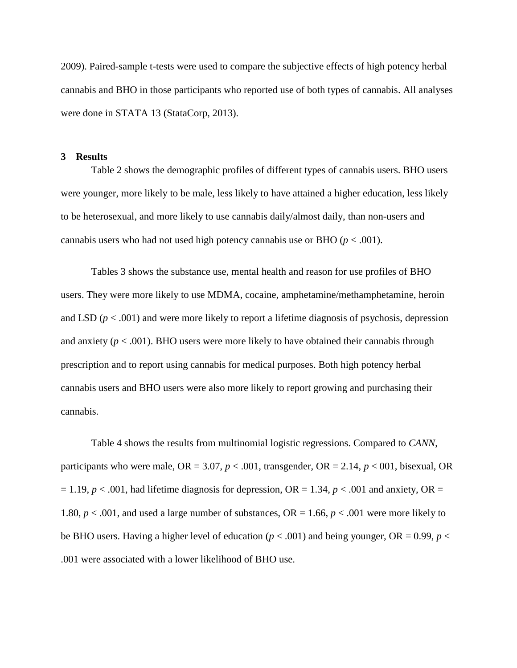2009). Paired-sample t-tests were used to compare the subjective effects of high potency herbal cannabis and BHO in those participants who reported use of both types of cannabis. All analyses were done in STATA 13 (StataCorp, 2013).

#### **3 Results**

Table 2 shows the demographic profiles of different types of cannabis users. BHO users were younger, more likely to be male, less likely to have attained a higher education, less likely to be heterosexual, and more likely to use cannabis daily/almost daily, than non-users and cannabis users who had not used high potency cannabis use or BHO  $(p < .001)$ .

Tables 3 shows the substance use, mental health and reason for use profiles of BHO users. They were more likely to use MDMA, cocaine, amphetamine/methamphetamine, heroin and LSD  $(p < .001)$  and were more likely to report a lifetime diagnosis of psychosis, depression and anxiety  $(p < .001)$ . BHO users were more likely to have obtained their cannabis through prescription and to report using cannabis for medical purposes. Both high potency herbal cannabis users and BHO users were also more likely to report growing and purchasing their cannabis.

Table 4 shows the results from multinomial logistic regressions. Compared to *CANN*, participants who were male,  $OR = 3.07$ ,  $p < .001$ , transgender,  $OR = 2.14$ ,  $p < .001$ , bisexual, OR  $= 1.19, p < .001$ , had lifetime diagnosis for depression, OR = 1.34,  $p < .001$  and anxiety, OR = 1.80,  $p < .001$ , and used a large number of substances, OR = 1.66,  $p < .001$  were more likely to be BHO users. Having a higher level of education ( $p < .001$ ) and being younger, OR = 0.99,  $p <$ .001 were associated with a lower likelihood of BHO use.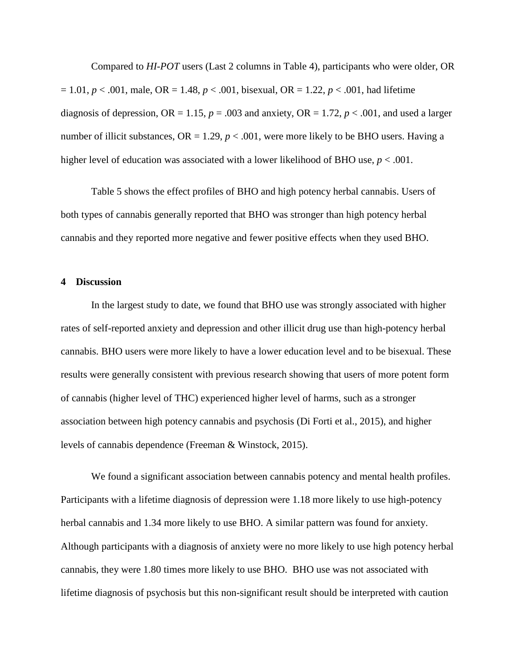Compared to *HI-POT* users (Last 2 columns in Table 4), participants who were older, OR = 1.01, *p* < .001, male, OR = 1.48, *p* < .001, bisexual, OR = 1.22, *p* < .001, had lifetime diagnosis of depression,  $OR = 1.15$ ,  $p = .003$  and anxiety,  $OR = 1.72$ ,  $p < .001$ , and used a larger number of illicit substances,  $OR = 1.29$ ,  $p < .001$ , were more likely to be BHO users. Having a higher level of education was associated with a lower likelihood of BHO use,  $p < .001$ .

Table 5 shows the effect profiles of BHO and high potency herbal cannabis. Users of both types of cannabis generally reported that BHO was stronger than high potency herbal cannabis and they reported more negative and fewer positive effects when they used BHO.

#### **4 Discussion**

In the largest study to date, we found that BHO use was strongly associated with higher rates of self-reported anxiety and depression and other illicit drug use than high-potency herbal cannabis. BHO users were more likely to have a lower education level and to be bisexual. These results were generally consistent with previous research showing that users of more potent form of cannabis (higher level of THC) experienced higher level of harms, such as a stronger association between high potency cannabis and psychosis (Di Forti et al., 2015), and higher levels of cannabis dependence (Freeman & Winstock, 2015).

We found a significant association between cannabis potency and mental health profiles. Participants with a lifetime diagnosis of depression were 1.18 more likely to use high-potency herbal cannabis and 1.34 more likely to use BHO. A similar pattern was found for anxiety. Although participants with a diagnosis of anxiety were no more likely to use high potency herbal cannabis, they were 1.80 times more likely to use BHO. BHO use was not associated with lifetime diagnosis of psychosis but this non-significant result should be interpreted with caution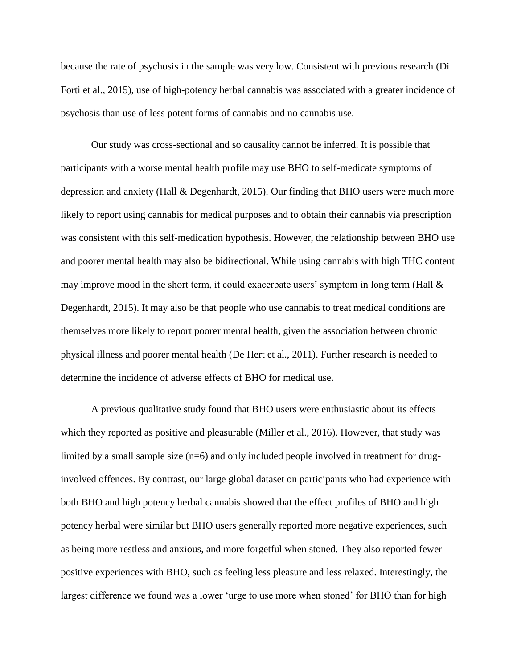because the rate of psychosis in the sample was very low. Consistent with previous research (Di Forti et al., 2015), use of high-potency herbal cannabis was associated with a greater incidence of psychosis than use of less potent forms of cannabis and no cannabis use.

Our study was cross-sectional and so causality cannot be inferred. It is possible that participants with a worse mental health profile may use BHO to self-medicate symptoms of depression and anxiety (Hall & Degenhardt, 2015). Our finding that BHO users were much more likely to report using cannabis for medical purposes and to obtain their cannabis via prescription was consistent with this self-medication hypothesis. However, the relationship between BHO use and poorer mental health may also be bidirectional. While using cannabis with high THC content may improve mood in the short term, it could exacerbate users' symptom in long term (Hall & Degenhardt, 2015). It may also be that people who use cannabis to treat medical conditions are themselves more likely to report poorer mental health, given the association between chronic physical illness and poorer mental health (De Hert et al., 2011). Further research is needed to determine the incidence of adverse effects of BHO for medical use.

A previous qualitative study found that BHO users were enthusiastic about its effects which they reported as positive and pleasurable (Miller et al., 2016). However, that study was limited by a small sample size  $(n=6)$  and only included people involved in treatment for druginvolved offences. By contrast, our large global dataset on participants who had experience with both BHO and high potency herbal cannabis showed that the effect profiles of BHO and high potency herbal were similar but BHO users generally reported more negative experiences, such as being more restless and anxious, and more forgetful when stoned. They also reported fewer positive experiences with BHO, such as feeling less pleasure and less relaxed. Interestingly, the largest difference we found was a lower 'urge to use more when stoned' for BHO than for high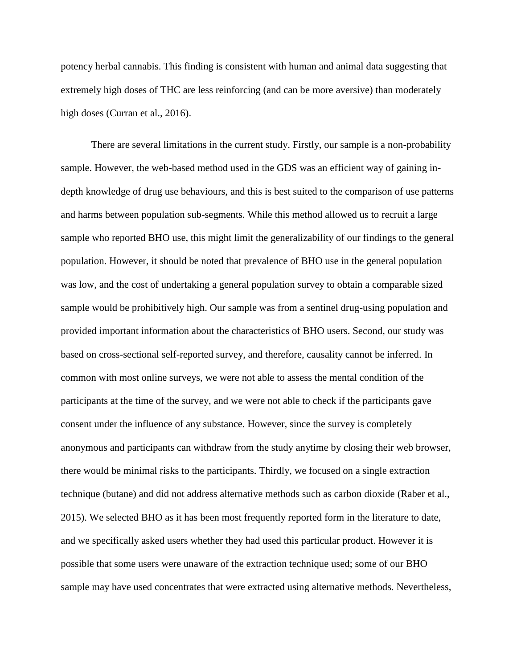potency herbal cannabis. This finding is consistent with human and animal data suggesting that extremely high doses of THC are less reinforcing (and can be more aversive) than moderately high doses (Curran et al., 2016).

There are several limitations in the current study. Firstly, our sample is a non-probability sample. However, the web-based method used in the GDS was an efficient way of gaining indepth knowledge of drug use behaviours, and this is best suited to the comparison of use patterns and harms between population sub-segments. While this method allowed us to recruit a large sample who reported BHO use, this might limit the generalizability of our findings to the general population. However, it should be noted that prevalence of BHO use in the general population was low, and the cost of undertaking a general population survey to obtain a comparable sized sample would be prohibitively high. Our sample was from a sentinel drug-using population and provided important information about the characteristics of BHO users. Second, our study was based on cross-sectional self-reported survey, and therefore, causality cannot be inferred. In common with most online surveys, we were not able to assess the mental condition of the participants at the time of the survey, and we were not able to check if the participants gave consent under the influence of any substance. However, since the survey is completely anonymous and participants can withdraw from the study anytime by closing their web browser, there would be minimal risks to the participants. Thirdly, we focused on a single extraction technique (butane) and did not address alternative methods such as carbon dioxide (Raber et al., 2015). We selected BHO as it has been most frequently reported form in the literature to date, and we specifically asked users whether they had used this particular product. However it is possible that some users were unaware of the extraction technique used; some of our BHO sample may have used concentrates that were extracted using alternative methods. Nevertheless,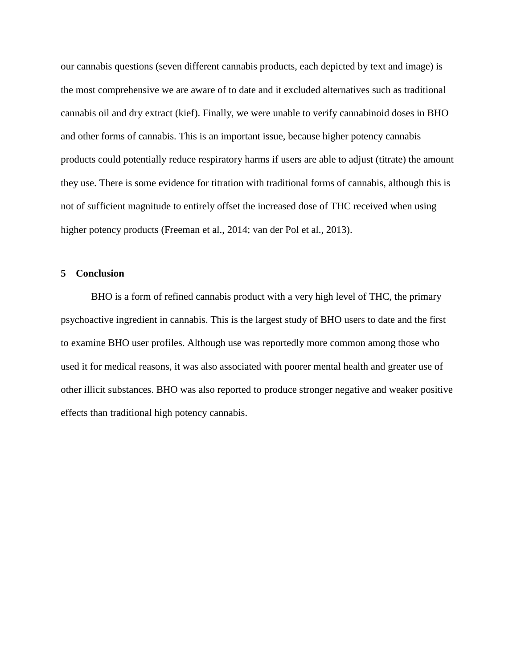our cannabis questions (seven different cannabis products, each depicted by text and image) is the most comprehensive we are aware of to date and it excluded alternatives such as traditional cannabis oil and dry extract (kief). Finally, we were unable to verify cannabinoid doses in BHO and other forms of cannabis. This is an important issue, because higher potency cannabis products could potentially reduce respiratory harms if users are able to adjust (titrate) the amount they use. There is some evidence for titration with traditional forms of cannabis, although this is not of sufficient magnitude to entirely offset the increased dose of THC received when using higher potency products (Freeman et al., 2014; van der Pol et al., 2013).

#### **5 Conclusion**

BHO is a form of refined cannabis product with a very high level of THC, the primary psychoactive ingredient in cannabis. This is the largest study of BHO users to date and the first to examine BHO user profiles. Although use was reportedly more common among those who used it for medical reasons, it was also associated with poorer mental health and greater use of other illicit substances. BHO was also reported to produce stronger negative and weaker positive effects than traditional high potency cannabis.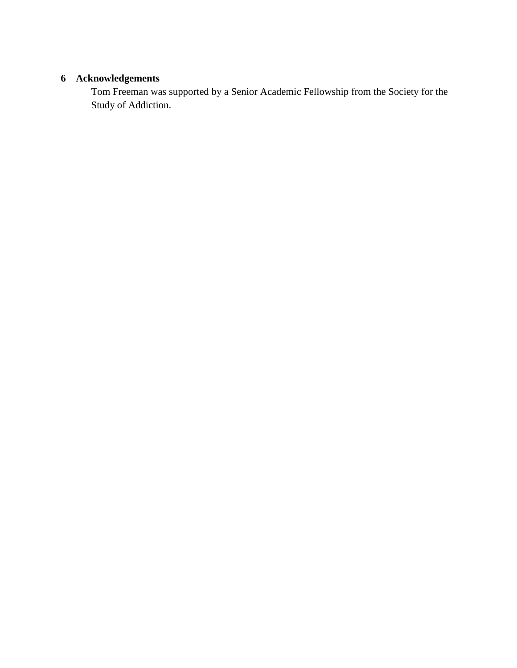## **6 Acknowledgements**

Tom Freeman was supported by a Senior Academic Fellowship from the Society for the Study of Addiction.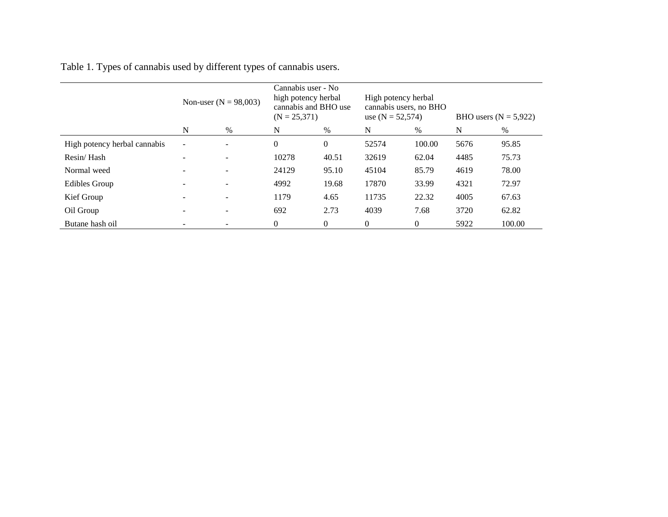Table 1. Types of cannabis used by different types of cannabis users.

|                              | Non-user ( $N = 98,003$ ) |                          | Cannabis user - No<br>high potency herbal<br>cannabis and BHO use<br>$(N = 25,371)$ |              | High potency herbal<br>cannabis users, no BHO<br>use $(N = 52,574)$ |                | BHO users $(N = 5,922)$ |        |
|------------------------------|---------------------------|--------------------------|-------------------------------------------------------------------------------------|--------------|---------------------------------------------------------------------|----------------|-------------------------|--------|
|                              | N                         | $\%$                     | N                                                                                   | $\%$         | N                                                                   | $\%$           | N                       | $\%$   |
| High potency herbal cannabis | $\overline{\phantom{a}}$  |                          | $\mathbf{0}$                                                                        | $\mathbf{0}$ | 52574                                                               | 100.00         | 5676                    | 95.85  |
| Resin/Hash                   |                           | $\overline{\phantom{0}}$ | 10278                                                                               | 40.51        | 32619                                                               | 62.04          | 4485                    | 75.73  |
| Normal weed                  |                           | $\overline{\phantom{0}}$ | 24129                                                                               | 95.10        | 45104                                                               | 85.79          | 4619                    | 78.00  |
| <b>Edibles Group</b>         |                           | $\overline{\phantom{0}}$ | 4992                                                                                | 19.68        | 17870                                                               | 33.99          | 4321                    | 72.97  |
| Kief Group                   |                           | $\overline{\phantom{a}}$ | 1179                                                                                | 4.65         | 11735                                                               | 22.32          | 4005                    | 67.63  |
| Oil Group                    |                           | $\overline{\phantom{a}}$ | 692                                                                                 | 2.73         | 4039                                                                | 7.68           | 3720                    | 62.82  |
| Butane hash oil              |                           |                          | 0                                                                                   | $\mathbf{0}$ | $\theta$                                                            | $\overline{0}$ | 5922                    | 100.00 |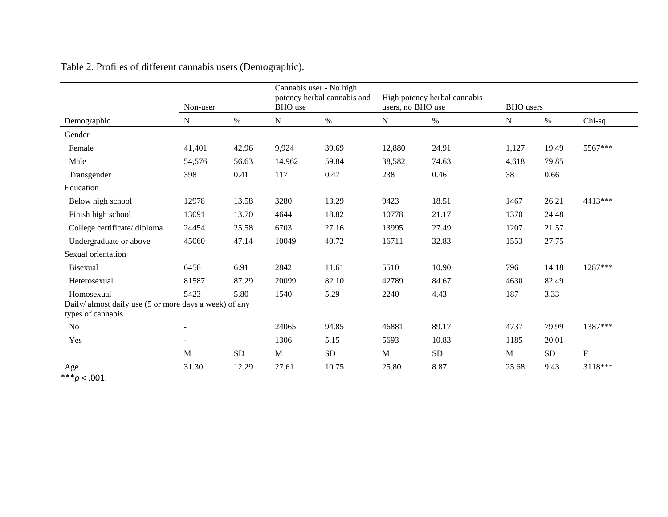|                                                                             | Non-user                 |            | Cannabis user - No high<br>potency herbal cannabis and<br><b>BHO</b> use |            | users, no BHO use | High potency herbal cannabis | <b>BHO</b> users |           |                           |
|-----------------------------------------------------------------------------|--------------------------|------------|--------------------------------------------------------------------------|------------|-------------------|------------------------------|------------------|-----------|---------------------------|
| Demographic                                                                 | ${\bf N}$                | $\%$       | ${\bf N}$                                                                | $\%$       | $\mathbf N$       | $\%$                         | ${\bf N}$        | $\%$      | $Chi-sq$                  |
| Gender                                                                      |                          |            |                                                                          |            |                   |                              |                  |           |                           |
| Female                                                                      | 41,401                   | 42.96      | 9,924                                                                    | 39.69      | 12,880            | 24.91                        | 1,127            | 19.49     | 5567***                   |
| Male                                                                        | 54,576                   | 56.63      | 14.962                                                                   | 59.84      | 38,582            | 74.63                        | 4,618            | 79.85     |                           |
| Transgender                                                                 | 398                      | 0.41       | 117                                                                      | 0.47       | 238               | 0.46                         | 38               | 0.66      |                           |
| Education                                                                   |                          |            |                                                                          |            |                   |                              |                  |           |                           |
| Below high school                                                           | 12978                    | 13.58      | 3280                                                                     | 13.29      | 9423              | 18.51                        | 1467             | 26.21     | 4413***                   |
| Finish high school                                                          | 13091                    | 13.70      | 4644                                                                     | 18.82      | 10778             | 21.17                        | 1370             | 24.48     |                           |
| College certificate/diploma                                                 | 24454                    | 25.58      | 6703                                                                     | 27.16      | 13995             | 27.49                        | 1207             | 21.57     |                           |
| Undergraduate or above                                                      | 45060                    | 47.14      | 10049                                                                    | 40.72      | 16711             | 32.83                        | 1553             | 27.75     |                           |
| Sexual orientation                                                          |                          |            |                                                                          |            |                   |                              |                  |           |                           |
| <b>Bisexual</b>                                                             | 6458                     | 6.91       | 2842                                                                     | 11.61      | 5510              | 10.90                        | 796              | 14.18     | 1287***                   |
| Heterosexual                                                                | 81587                    | 87.29      | 20099                                                                    | 82.10      | 42789             | 84.67                        | 4630             | 82.49     |                           |
| Homosexual                                                                  | 5423                     | 5.80       | 1540                                                                     | 5.29       | 2240              | 4.43                         | 187              | 3.33      |                           |
| Daily/ almost daily use (5 or more days a week) of any<br>types of cannabis |                          |            |                                                                          |            |                   |                              |                  |           |                           |
| N <sub>o</sub>                                                              | $\overline{\phantom{a}}$ |            | 24065                                                                    | 94.85      | 46881             | 89.17                        | 4737             | 79.99     | 1387***                   |
| Yes                                                                         | $\overline{\phantom{a}}$ |            | 1306                                                                     | 5.15       | 5693              | 10.83                        | 1185             | 20.01     |                           |
|                                                                             | M                        | ${\rm SD}$ | M                                                                        | ${\rm SD}$ | M                 | ${\rm SD}$                   | M                | <b>SD</b> | $\boldsymbol{\mathrm{F}}$ |
| Age                                                                         | 31.30                    | 12.29      | 27.61                                                                    | 10.75      | 25.80             | 8.87                         | 25.68            | 9.43      | 3118***                   |

|  | Table 2. Profiles of different cannabis users (Demographic). |  |  |  |  |  |
|--|--------------------------------------------------------------|--|--|--|--|--|
|--|--------------------------------------------------------------|--|--|--|--|--|

 $***p$  < .001.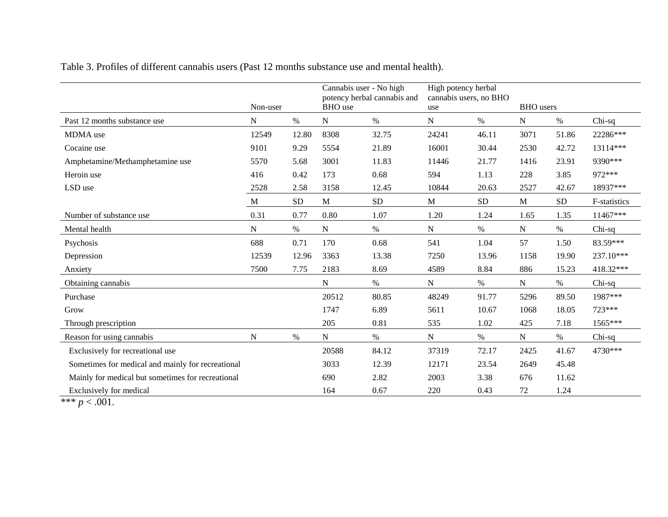|                                                   | Non-user  |            | Cannabis user - No high<br>potency herbal cannabis and<br><b>BHO</b> use |           | High potency herbal<br>cannabis users, no BHO<br>use |            | <b>BHO</b> users |           |              |
|---------------------------------------------------|-----------|------------|--------------------------------------------------------------------------|-----------|------------------------------------------------------|------------|------------------|-----------|--------------|
| Past 12 months substance use                      | N         | $\%$       | N                                                                        | $\%$      | N                                                    | $\%$       | N                | $\%$      | Chi-sq       |
| MDMA use                                          | 12549     | 12.80      | 8308                                                                     | 32.75     | 24241                                                | 46.11      | 3071             | 51.86     | 22286***     |
| Cocaine use                                       | 9101      | 9.29       | 5554                                                                     | 21.89     | 16001                                                | 30.44      | 2530             | 42.72     | 13114***     |
| Amphetamine/Methamphetamine use                   | 5570      | 5.68       | 3001                                                                     | 11.83     | 11446                                                | 21.77      | 1416             | 23.91     | 9390***      |
| Heroin use                                        | 416       | 0.42       | 173                                                                      | 0.68      | 594                                                  | 1.13       | 228              | 3.85      | 972***       |
| LSD use                                           | 2528      | 2.58       | 3158                                                                     | 12.45     | 10844                                                | 20.63      | 2527             | 42.67     | 18937***     |
|                                                   | M         | ${\rm SD}$ | $\mathbf M$                                                              | <b>SD</b> | $\mathbf M$                                          | ${\rm SD}$ | $\mathbf{M}$     | <b>SD</b> | F-statistics |
| Number of substance use                           | 0.31      | 0.77       | 0.80                                                                     | 1.07      | 1.20                                                 | 1.24       | 1.65             | 1.35      | 11467***     |
| Mental health                                     | ${\bf N}$ | $\%$       | N                                                                        | $\%$      | ${\bf N}$                                            | $\%$       | ${\bf N}$        | $\%$      | Chi-sq       |
| Psychosis                                         | 688       | 0.71       | 170                                                                      | 0.68      | 541                                                  | 1.04       | 57               | 1.50      | 83.59***     |
| Depression                                        | 12539     | 12.96      | 3363                                                                     | 13.38     | 7250                                                 | 13.96      | 1158             | 19.90     | 237.10***    |
| Anxiety                                           | 7500      | 7.75       | 2183                                                                     | 8.69      | 4589                                                 | 8.84       | 886              | 15.23     | 418.32***    |
| Obtaining cannabis                                |           |            | N                                                                        | $\%$      | N                                                    | $\%$       | N                | $\%$      | Chi-sq       |
| Purchase                                          |           |            | 20512                                                                    | 80.85     | 48249                                                | 91.77      | 5296             | 89.50     | 1987***      |
| Grow                                              |           |            | 1747                                                                     | 6.89      | 5611                                                 | 10.67      | 1068             | 18.05     | 723***       |
| Through prescription                              |           |            | 205                                                                      | 0.81      | 535                                                  | 1.02       | 425              | 7.18      | 1565***      |
| Reason for using cannabis                         | N         | $\%$       | N                                                                        | %         | ${\bf N}$                                            | $\%$       | ${\bf N}$        | %         | Chi-sq       |
| Exclusively for recreational use                  |           |            | 20588                                                                    | 84.12     | 37319                                                | 72.17      | 2425             | 41.67     | 4730***      |
| Sometimes for medical and mainly for recreational |           |            | 3033                                                                     | 12.39     | 12171                                                | 23.54      | 2649             | 45.48     |              |
| Mainly for medical but sometimes for recreational |           |            | 690                                                                      | 2.82      | 2003                                                 | 3.38       | 676              | 11.62     |              |
| Exclusively for medical                           |           |            | 164                                                                      | 0.67      | 220                                                  | 0.43       | 72               | 1.24      |              |

Table 3. Profiles of different cannabis users (Past 12 months substance use and mental health).

\*\*\*  $p < .001$ .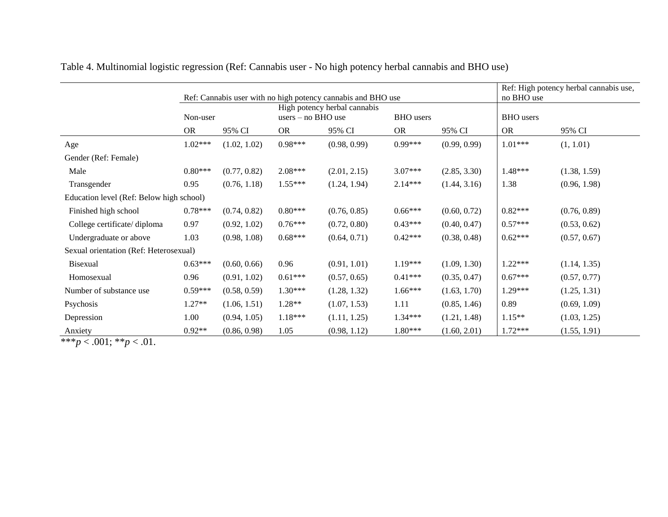|                                             |           | Ref: Cannabis user with no high potency cannabis and BHO use |           | Ref: High potency herbal cannabis use,<br>no BHO use |           |                  |           |              |
|---------------------------------------------|-----------|--------------------------------------------------------------|-----------|------------------------------------------------------|-----------|------------------|-----------|--------------|
|                                             | Non-user  |                                                              |           | High potency herbal cannabis<br>users $-$ no BHO use |           | <b>BHO</b> users |           |              |
|                                             | <b>OR</b> | 95% CI                                                       | <b>OR</b> | 95% CI                                               | <b>OR</b> | 95% CI           | <b>OR</b> | 95% CI       |
| Age                                         | $1.02***$ | (1.02, 1.02)                                                 | $0.98***$ | (0.98, 0.99)                                         | $0.99***$ | (0.99, 0.99)     | $1.01***$ | (1, 1.01)    |
| Gender (Ref: Female)                        |           |                                                              |           |                                                      |           |                  |           |              |
| Male                                        | $0.80***$ | (0.77, 0.82)                                                 | $2.08***$ | (2.01, 2.15)                                         | 3.07***   | (2.85, 3.30)     | $1.48***$ | (1.38, 1.59) |
| Transgender                                 | 0.95      | (0.76, 1.18)                                                 | $1.55***$ | (1.24, 1.94)                                         | 2.14***   | (1.44, 3.16)     | 1.38      | (0.96, 1.98) |
| Education level (Ref: Below high school)    |           |                                                              |           |                                                      |           |                  |           |              |
| Finished high school                        | $0.78***$ | (0.74, 0.82)                                                 | $0.80***$ | (0.76, 0.85)                                         | $0.66***$ | (0.60, 0.72)     | $0.82***$ | (0.76, 0.89) |
| College certificate/diploma                 | 0.97      | (0.92, 1.02)                                                 | $0.76***$ | (0.72, 0.80)                                         | $0.43***$ | (0.40, 0.47)     | $0.57***$ | (0.53, 0.62) |
| Undergraduate or above                      | 1.03      | (0.98, 1.08)                                                 | $0.68***$ | (0.64, 0.71)                                         | $0.42***$ | (0.38, 0.48)     | $0.62***$ | (0.57, 0.67) |
| Sexual orientation (Ref: Heterosexual)      |           |                                                              |           |                                                      |           |                  |           |              |
| <b>Bisexual</b>                             | $0.63***$ | (0.60, 0.66)                                                 | 0.96      | (0.91, 1.01)                                         | $1.19***$ | (1.09, 1.30)     | $1.22***$ | (1.14, 1.35) |
| Homosexual                                  | 0.96      | (0.91, 1.02)                                                 | $0.61***$ | (0.57, 0.65)                                         | $0.41***$ | (0.35, 0.47)     | $0.67***$ | (0.57, 0.77) |
| Number of substance use                     | $0.59***$ | (0.58, 0.59)                                                 | $1.30***$ | (1.28, 1.32)                                         | $1.66***$ | (1.63, 1.70)     | 1.29***   | (1.25, 1.31) |
| Psychosis                                   | $1.27**$  | (1.06, 1.51)                                                 | 1.28**    | (1.07, 1.53)                                         | 1.11      | (0.85, 1.46)     | 0.89      | (0.69, 1.09) |
| Depression                                  | 1.00      | (0.94, 1.05)                                                 | $1.18***$ | (1.11, 1.25)                                         | $1.34***$ | (1.21, 1.48)     | $1.15***$ | (1.03, 1.25) |
| Anxiety<br>$0.04 \pm 0.01$<br>$\sim$ $\sim$ | $0.92**$  | (0.86, 0.98)                                                 | 1.05      | (0.98, 1.12)                                         | 1.80***   | (1.60, 2.01)     | $1.72***$ | (1.55, 1.91) |

Table 4. Multinomial logistic regression (Ref: Cannabis user - No high potency herbal cannabis and BHO use)

 $\frac{P_{\text{max}}}{x * * p} < .001; **p < .01.$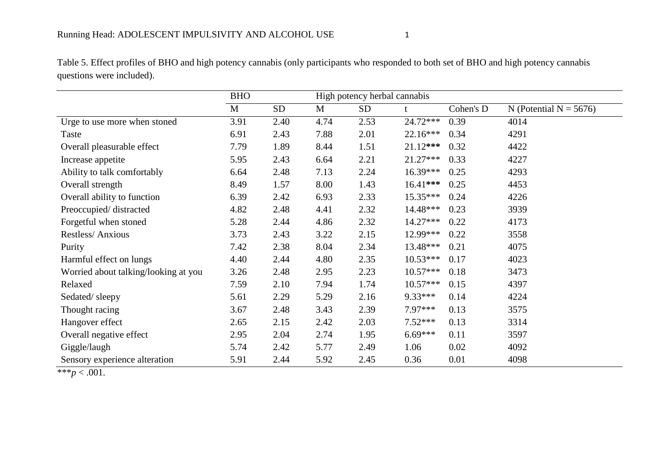BHO High potency herbal cannabis M SD M SD t Cohen's D N (Potential N =  $5676$ ) Urge to use more when stoned 3.91 2.40 4.74 2.53 24.72\*\*\* 0.39 4014 Taste 6.91 2.43 7.88 2.01 22.16\*\*\* 0.34 4291 Overall pleasurable effect 7.79 1.89 8.44 1.51 21.12**\*\*\*** 0.32 4422 Increase appetite 5.95 2.43 6.64 2.21 21.27<sup>\*\*\*</sup> 0.33 4227 Ability to talk comfortably 6.64 2.48 7.13 2.24 16.39<sup>\*\*\*</sup> 0.25 4293 Overall strength 8.49 1.57 8.00 1.43 16.41**\*\*\*** 0.25 4453 Overall ability to function 6.39 2.42 6.93 2.33 15.35\*\*\* 0.24 4226 Preoccupied/ distracted 4.82 2.48 4.41 2.32 14.48\*\*\* 0.23 3939 Forgetful when stoned 5.28 2.44 4.86 2.32 14.27\*\*\* 0.22 4173 Restless/Anxious 3.73 2.43 3.22 2.15 12.99\*\*\* 0.22 3558 Purity 7.42 2.38 8.04 2.34 13.48\*\*\* 0.21 4075 Harmful effect on lungs 4.40 2.44 4.80 2.35 10.53<sup>\*\*\*</sup> 0.17 4023 Worried about talking/looking at you  $3.26$   $2.48$   $2.95$   $2.23$   $10.57***$  0.18  $3473$ Relaxed 2.10 7.59 2.10 7.94 1.74 10.57\*\*\* 0.15 4397 Sedated/ sleepy 5.61 2.29 5.29 2.16 9.33\*\*\* 0.14 4224 Thought racing 3.67 2.48 3.43 2.39 7.97\*\*\* 0.13 3575 Hangover effect 2.65 2.15 2.42 2.03 7.52\*\*\* 0.13 3314 Overall negative effect 2.95 2.04 2.74 1.95 6.69\*\*\* 0.11 3597 Giggle/laugh 5.74 2.42 5.77 2.49 1.06 0.02 4092 Sensory experience alteration 5.91 2.44 5.92 2.45 0.36 0.01 4098

Table 5. Effect profiles of BHO and high potency cannabis (only participants who responded to both set of BHO and high potency cannabis questions were included).

\*\*\* $p < .001$ .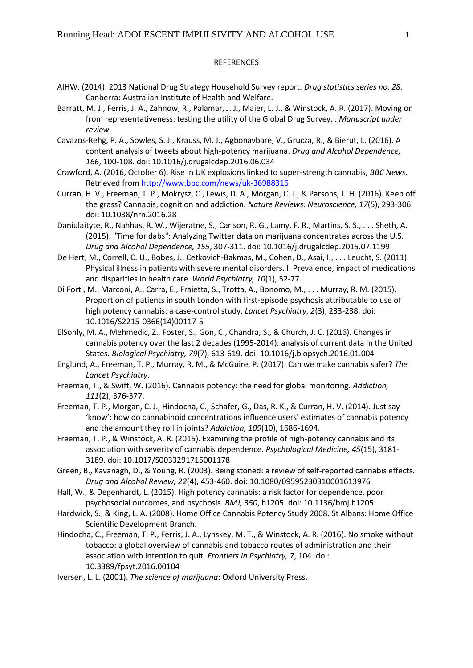#### REFERENCES

- AIHW. (2014). 2013 National Drug Strategy Household Survey report. *Drug statistics series no. 28*. Canberra: Australian Institute of Health and Welfare.
- Barratt, M. J., Ferris, J. A., Zahnow, R., Palamar, J. J., Maier, L. J., & Winstock, A. R. (2017). Moving on from representativeness: testing the utility of the Global Drug Survey. . *Manuscript under review.*
- Cavazos-Rehg, P. A., Sowles, S. J., Krauss, M. J., Agbonavbare, V., Grucza, R., & Bierut, L. (2016). A content analysis of tweets about high-potency marijuana. *Drug and Alcohol Dependence, 166*, 100-108. doi: 10.1016/j.drugalcdep.2016.06.034
- Crawford, A. (2016, October 6). Rise in UK explosions linked to super-strength cannabis, *BBC News*. Retrieved from<http://www.bbc.com/news/uk-36988316>
- Curran, H. V., Freeman, T. P., Mokrysz, C., Lewis, D. A., Morgan, C. J., & Parsons, L. H. (2016). Keep off the grass? Cannabis, cognition and addiction. *Nature Reviews: Neuroscience, 17*(5), 293-306. doi: 10.1038/nrn.2016.28
- Daniulaityte, R., Nahhas, R. W., Wijeratne, S., Carlson, R. G., Lamy, F. R., Martins, S. S., . . . Sheth, A. (2015). "Time for dabs": Analyzing Twitter data on marijuana concentrates across the U.S. *Drug and Alcohol Dependence, 155*, 307-311. doi: 10.1016/j.drugalcdep.2015.07.1199
- De Hert, M., Correll, C. U., Bobes, J., Cetkovich-Bakmas, M., Cohen, D., Asai, I., . . . Leucht, S. (2011). Physical illness in patients with severe mental disorders. I. Prevalence, impact of medications and disparities in health care. *World Psychiatry, 10*(1), 52-77.
- Di Forti, M., Marconi, A., Carra, E., Fraietta, S., Trotta, A., Bonomo, M., . . . Murray, R. M. (2015). Proportion of patients in south London with first-episode psychosis attributable to use of high potency cannabis: a case-control study. *Lancet Psychiatry, 2*(3), 233-238. doi: 10.1016/S2215-0366(14)00117-5
- ElSohly, M. A., Mehmedic, Z., Foster, S., Gon, C., Chandra, S., & Church, J. C. (2016). Changes in cannabis potency over the last 2 decades (1995-2014): analysis of current data in the United States. *Biological Psychiatry, 79*(7), 613-619. doi: 10.1016/j.biopsych.2016.01.004
- Englund, A., Freeman, T. P., Murray, R. M., & McGuire, P. (2017). Can we make cannabis safer? *The Lancet Psychiatry*.
- Freeman, T., & Swift, W. (2016). Cannabis potency: the need for global monitoring. *Addiction, 111*(2), 376-377.
- Freeman, T. P., Morgan, C. J., Hindocha, C., Schafer, G., Das, R. K., & Curran, H. V. (2014). Just say 'know': how do cannabinoid concentrations influence users' estimates of cannabis potency and the amount they roll in joints? *Addiction, 109*(10), 1686-1694.
- Freeman, T. P., & Winstock, A. R. (2015). Examining the profile of high-potency cannabis and its association with severity of cannabis dependence. *Psychological Medicine, 45*(15), 3181- 3189. doi: 10.1017/S0033291715001178
- Green, B., Kavanagh, D., & Young, R. (2003). Being stoned: a review of self-reported cannabis effects. *Drug and Alcohol Review, 22*(4), 453-460. doi: 10.1080/09595230310001613976
- Hall, W., & Degenhardt, L. (2015). High potency cannabis: a risk factor for dependence, poor psychosocial outcomes, and psychosis. *BMJ, 350*, h1205. doi: 10.1136/bmj.h1205
- Hardwick, S., & King, L. A. (2008). Home Office Cannabis Potency Study 2008. St Albans: Home Office Scientific Development Branch.
- Hindocha, C., Freeman, T. P., Ferris, J. A., Lynskey, M. T., & Winstock, A. R. (2016). No smoke without tobacco: a global overview of cannabis and tobacco routes of administration and their association with intention to quit. *Frontiers in Psychiatry, 7*, 104. doi: 10.3389/fpsyt.2016.00104
- Iversen, L. L. (2001). *The science of marijuana*: Oxford University Press.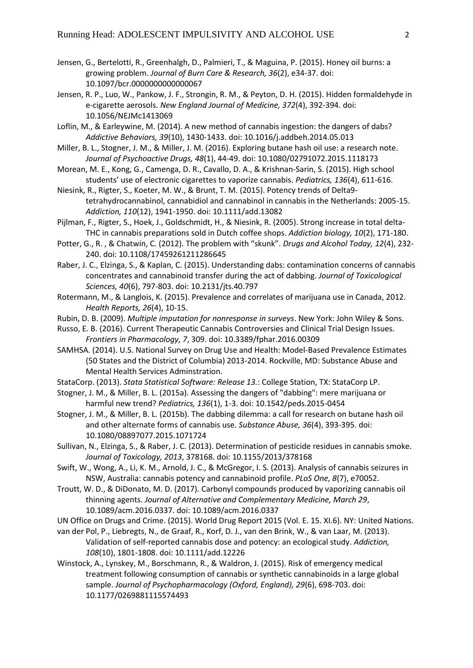- Jensen, G., Bertelotti, R., Greenhalgh, D., Palmieri, T., & Maguina, P. (2015). Honey oil burns: a growing problem. *Journal of Burn Care & Research, 36*(2), e34-37. doi: 10.1097/bcr.0000000000000067
- Jensen, R. P., Luo, W., Pankow, J. F., Strongin, R. M., & Peyton, D. H. (2015). Hidden formaldehyde in e-cigarette aerosols. *New England Journal of Medicine, 372*(4), 392-394. doi: 10.1056/NEJMc1413069
- Loflin, M., & Earleywine, M. (2014). A new method of cannabis ingestion: the dangers of dabs? *Addictive Behaviors, 39*(10), 1430-1433. doi: 10.1016/j.addbeh.2014.05.013
- Miller, B. L., Stogner, J. M., & Miller, J. M. (2016). Exploring butane hash oil use: a research note. *Journal of Psychoactive Drugs, 48*(1), 44-49. doi: 10.1080/02791072.2015.1118173
- Morean, M. E., Kong, G., Camenga, D. R., Cavallo, D. A., & Krishnan-Sarin, S. (2015). High school students' use of electronic cigarettes to vaporize cannabis. *Pediatrics, 136*(4), 611-616.
- Niesink, R., Rigter, S., Koeter, M. W., & Brunt, T. M. (2015). Potency trends of Delta9 tetrahydrocannabinol, cannabidiol and cannabinol in cannabis in the Netherlands: 2005-15. *Addiction, 110*(12), 1941-1950. doi: 10.1111/add.13082
- Pijlman, F., Rigter, S., Hoek, J., Goldschmidt, H., & Niesink, R. (2005). Strong increase in total delta‐ THC in cannabis preparations sold in Dutch coffee shops. *Addiction biology, 10*(2), 171-180.
- Potter, G., R. , & Chatwin, C. (2012). The problem with "skunk". *Drugs and Alcohol Today, 12*(4), 232- 240. doi: 10.1108/17459261211286645
- Raber, J. C., Elzinga, S., & Kaplan, C. (2015). Understanding dabs: contamination concerns of cannabis concentrates and cannabinoid transfer during the act of dabbing. *Journal of Toxicological Sciences, 40*(6), 797-803. doi: 10.2131/jts.40.797
- Rotermann, M., & Langlois, K. (2015). Prevalence and correlates of marijuana use in Canada, 2012. *Health Reports, 26*(4), 10-15.
- Rubin, D. B. (2009). *Multiple imputation for nonresponse in surveys*. New York: John Wiley & Sons.
- Russo, E. B. (2016). Current Therapeutic Cannabis Controversies and Clinical Trial Design Issues. *Frontiers in Pharmacology, 7*, 309. doi: 10.3389/fphar.2016.00309
- SAMHSA. (2014). U.S. National Survey on Drug Use and Health: Model-Based Prevalence Estimates (50 States and the District of Columbia) 2013-2014. Rockville, MD: Substance Abuse and Mental Health Services Adminstration.
- StataCorp. (2013). *Stata Statistical Software: Release 13.*: College Station, TX: StataCorp LP.
- Stogner, J. M., & Miller, B. L. (2015a). Assessing the dangers of "dabbing": mere marijuana or harmful new trend? *Pediatrics, 136*(1), 1-3. doi: 10.1542/peds.2015-0454
- Stogner, J. M., & Miller, B. L. (2015b). The dabbing dilemma: a call for research on butane hash oil and other alternate forms of cannabis use. *Substance Abuse, 36*(4), 393-395. doi: 10.1080/08897077.2015.1071724
- Sullivan, N., Elzinga, S., & Raber, J. C. (2013). Determination of pesticide residues in cannabis smoke. *Journal of Toxicology, 2013*, 378168. doi: 10.1155/2013/378168
- Swift, W., Wong, A., Li, K. M., Arnold, J. C., & McGregor, I. S. (2013). Analysis of cannabis seizures in NSW, Australia: cannabis potency and cannabinoid profile. *PLoS One, 8*(7), e70052.
- Troutt, W. D., & DiDonato, M. D. (2017). Carbonyl compounds produced by vaporizing cannabis oil thinning agents. *Journal of Alternative and Complementary Medicine, March 29*, 10.1089/acm.2016.0337. doi: 10.1089/acm.2016.0337
- UN Office on Drugs and Crime. (2015). World Drug Report 2015 (Vol. E. 15. XI.6). NY: United Nations.
- van der Pol, P., Liebregts, N., de Graaf, R., Korf, D. J., van den Brink, W., & van Laar, M. (2013). Validation of self-reported cannabis dose and potency: an ecological study. *Addiction, 108*(10), 1801-1808. doi: 10.1111/add.12226
- Winstock, A., Lynskey, M., Borschmann, R., & Waldron, J. (2015). Risk of emergency medical treatment following consumption of cannabis or synthetic cannabinoids in a large global sample. *Journal of Psychopharmacology (Oxford, England), 29*(6), 698-703. doi: 10.1177/0269881115574493